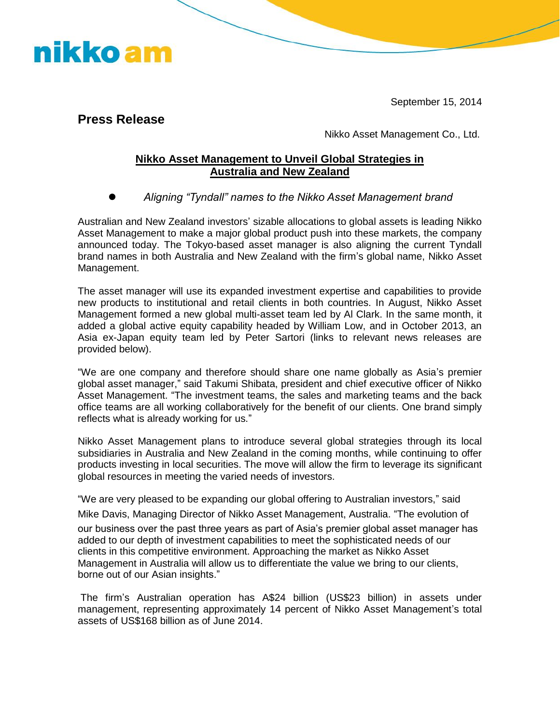September 15, 2014

**Press Release** 

nikko am

Nikko Asset Management Co., Ltd.

## **Nikko Asset Management to Unveil Global Strategies in Australia and New Zealand**

*Aligning "Tyndall" names to the Nikko Asset Management brand*

Australian and New Zealand investors' sizable allocations to global assets is leading Nikko Asset Management to make a major global product push into these markets, the company announced today. The Tokyo-based asset manager is also aligning the current Tyndall brand names in both Australia and New Zealand with the firm's global name, Nikko Asset Management.

The asset manager will use its expanded investment expertise and capabilities to provide new products to institutional and retail clients in both countries. In August, Nikko Asset Management formed a new global multi-asset team led by Al Clark. In the same month, it added a global active equity capability headed by William Low, and in October 2013, an Asia ex-Japan equity team led by Peter Sartori (links to relevant news releases are provided below).

"We are one company and therefore should share one name globally as Asia's premier global asset manager," said Takumi Shibata, president and chief executive officer of Nikko Asset Management. "The investment teams, the sales and marketing teams and the back office teams are all working collaboratively for the benefit of our clients. One brand simply reflects what is already working for us."

Nikko Asset Management plans to introduce several global strategies through its local subsidiaries in Australia and New Zealand in the coming months, while continuing to offer products investing in local securities. The move will allow the firm to leverage its significant global resources in meeting the varied needs of investors.

"We are very pleased to be expanding our global offering to Australian investors," said Mike Davis, Managing Director of Nikko Asset Management, Australia. "The evolution of our business over the past three years as part of Asia's premier global asset manager has added to our depth of investment capabilities to meet the sophisticated needs of our clients in this competitive environment. Approaching the market as Nikko Asset Management in Australia will allow us to differentiate the value we bring to our clients, borne out of our Asian insights."

The firm's Australian operation has A\$24 billion (US\$23 billion) in assets under management, representing approximately 14 percent of Nikko Asset Management's total assets of US\$168 billion as of June 2014.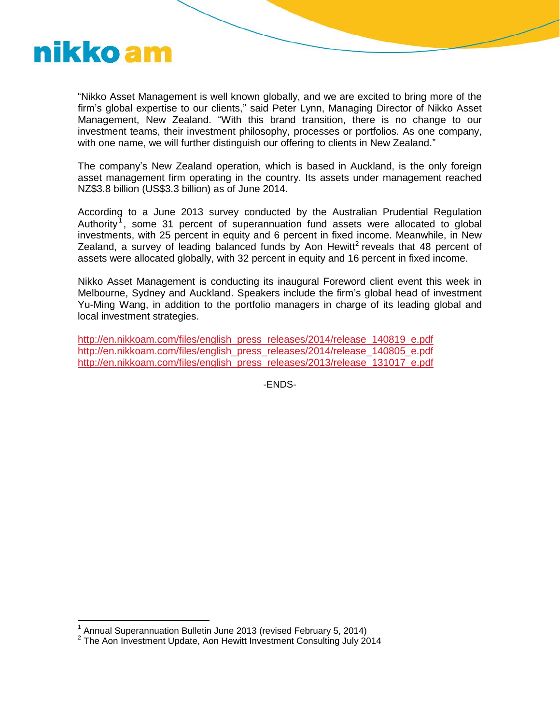

"Nikko Asset Management is well known globally, and we are excited to bring more of the firm's global expertise to our clients," said Peter Lynn, Managing Director of Nikko Asset Management, New Zealand. "With this brand transition, there is no change to our investment teams, their investment philosophy, processes or portfolios. As one company, with one name, we will further distinguish our offering to clients in New Zealand."

The company's New Zealand operation, which is based in Auckland, is the only foreign asset management firm operating in the country. Its assets under management reached NZ\$3.8 billion (US\$3.3 billion) as of June 2014.

According to a June 2013 survey conducted by the Australian Prudential Regulation Authority<sup>1</sup>, some 31 percent of superannuation fund assets were allocated to global investments, with 25 percent in equity and 6 percent in fixed income. Meanwhile, in New Zealand, a survey of leading balanced funds by Aon Hewitt<sup>2</sup> reveals that 48 percent of assets were allocated globally, with 32 percent in equity and 16 percent in fixed income.

Nikko Asset Management is conducting its inaugural Foreword client event this week in Melbourne, Sydney and Auckland. Speakers include the firm's global head of investment Yu-Ming Wang, in addition to the portfolio managers in charge of its leading global and local investment strategies.

[http://en.nikkoam.com/files/english\\_press\\_releases/2014/release\\_140819\\_e.pdf](http://en.nikkoam.com/files/english_press_releases/2014/release_140819_e.pdf) [http://en.nikkoam.com/files/english\\_press\\_releases/2014/release\\_140805\\_e.pdf](http://en.nikkoam.com/files/english_press_releases/2014/release_140805_e.pdf) [http://en.nikkoam.com/files/english\\_press\\_releases/2013/release\\_131017\\_e.pdf](http://en.nikkoam.com/files/english_press_releases/2013/release_131017_e.pdf)

-ENDS-

 1 Annual Superannuation Bulletin June 2013 (revised February 5, 2014)

 $2$  The Aon Investment Update, Aon Hewitt Investment Consulting July 2014